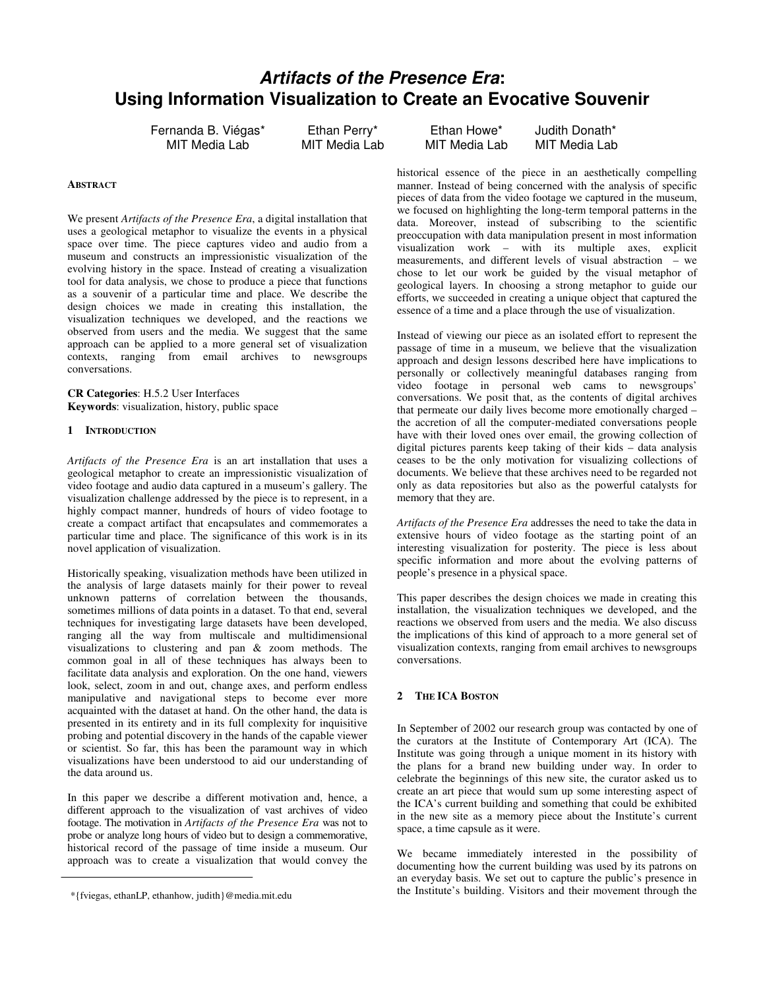# *Artifacts of the Presence Era***: Using Information Visualization to Create an Evocative Souvenir**

Fernanda B. Viégas\* MIT Media Lab

Ethan Perry\* MIT Media Lab

| Ethan Howe*   | Judith Donath* |
|---------------|----------------|
| MIT Media Lab | MIT Media Lab  |

## **ABSTRACT**

We present *Artifacts of the Presence Era*, a digital installation that uses a geological metaphor to visualize the events in a physical space over time. The piece captures video and audio from a museum and constructs an impressionistic visualization of the evolving history in the space. Instead of creating a visualization tool for data analysis, we chose to produce a piece that functions as a souvenir of a particular time and place. We describe the design choices we made in creating this installation, the visualization techniques we developed, and the reactions we observed from users and the media. We suggest that the same approach can be applied to a more general set of visualization contexts, ranging from email archives to newsgroups conversations.

**CR Categories**: H.5.2 User Interfaces **Keywords**: visualization, history, public space

# **1 INTRODUCTION**

*Artifacts of the Presence Era* is an art installation that uses a geological metaphor to create an impressionistic visualization of video footage and audio data captured in a museum's gallery. The visualization challenge addressed by the piece is to represent, in a highly compact manner, hundreds of hours of video footage to create a compact artifact that encapsulates and commemorates a particular time and place. The significance of this work is in its novel application of visualization.

Historically speaking, visualization methods have been utilized in the analysis of large datasets mainly for their power to reveal unknown patterns of correlation between the thousands, sometimes millions of data points in a dataset. To that end, several techniques for investigating large datasets have been developed, ranging all the way from multiscale and multidimensional visualizations to clustering and pan & zoom methods. The common goal in all of these techniques has always been to facilitate data analysis and exploration. On the one hand, viewers look, select, zoom in and out, change axes, and perform endless manipulative and navigational steps to become ever more acquainted with the dataset at hand. On the other hand, the data is presented in its entirety and in its full complexity for inquisitive probing and potential discovery in the hands of the capable viewer or scientist. So far, this has been the paramount way in which visualizations have been understood to aid our understanding of the data around us.

In this paper we describe a different motivation and, hence, a different approach to the visualization of vast archives of video footage. The motivation in *Artifacts of the Presence Era* was not to probe or analyze long hours of video but to design a commemorative, historical record of the passage of time inside a museum. Our approach was to create a visualization that would convey the

historical essence of the piece in an aesthetically compelling manner. Instead of being concerned with the analysis of specific pieces of data from the video footage we captured in the museum, we focused on highlighting the long-term temporal patterns in the data. Moreover, instead of subscribing to the scientific preoccupation with data manipulation present in most information visualization work – with its multiple axes, explicit measurements, and different levels of visual abstraction – we chose to let our work be guided by the visual metaphor of geological layers. In choosing a strong metaphor to guide our efforts, we succeeded in creating a unique object that captured the essence of a time and a place through the use of visualization.

Instead of viewing our piece as an isolated effort to represent the passage of time in a museum, we believe that the visualization approach and design lessons described here have implications to personally or collectively meaningful databases ranging from video footage in personal web cams to newsgroups' conversations. We posit that, as the contents of digital archives that permeate our daily lives become more emotionally charged – the accretion of all the computer-mediated conversations people have with their loved ones over email, the growing collection of digital pictures parents keep taking of their kids – data analysis ceases to be the only motivation for visualizing collections of documents. We believe that these archives need to be regarded not only as data repositories but also as the powerful catalysts for memory that they are.

*Artifacts of the Presence Era* addresses the need to take the data in extensive hours of video footage as the starting point of an interesting visualization for posterity. The piece is less about specific information and more about the evolving patterns of people's presence in a physical space.

This paper describes the design choices we made in creating this installation, the visualization techniques we developed, and the reactions we observed from users and the media. We also discuss the implications of this kind of approach to a more general set of visualization contexts, ranging from email archives to newsgroups conversations.

# **2 THE ICA BOSTON**

In September of 2002 our research group was contacted by one of the curators at the Institute of Contemporary Art (ICA). The Institute was going through a unique moment in its history with the plans for a brand new building under way. In order to celebrate the beginnings of this new site, the curator asked us to create an art piece that would sum up some interesting aspect of the ICA's current building and something that could be exhibited in the new site as a memory piece about the Institute's current space, a time capsule as it were.

We became immediately interested in the possibility of documenting how the current building was used by its patrons on an everyday basis. We set out to capture the public's presence in the Institute's building. Visitors and their movement through the

<sup>\*{</sup>fviegas, ethanLP, ethanhow, judith}@media.mit.edu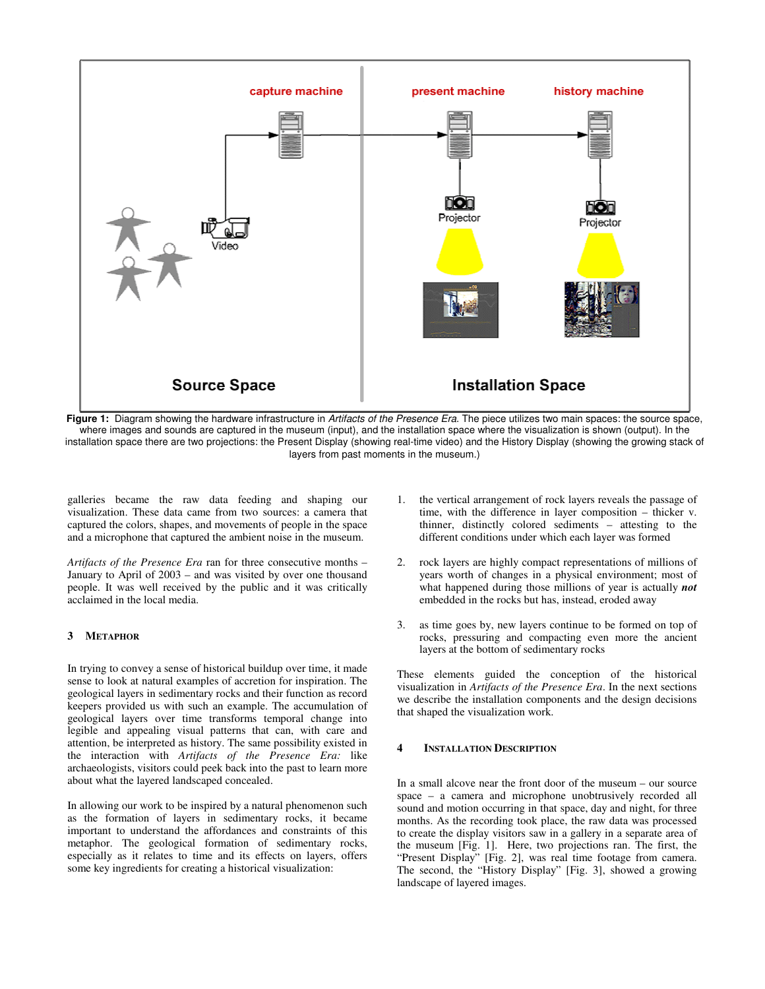

**Figure 1:** Diagram showing the hardware infrastructure in *Artifacts of the Presence Era*. The piece utilizes two main spaces: the source space, where images and sounds are captured in the museum (input), and the installation space where the visualization is shown (output). In the installation space there are two projections: the Present Display (showing real-time video) and the History Display (showing the growing stack of layers from past moments in the museum.)

galleries became the raw data feeding and shaping our visualization. These data came from two sources: a camera that captured the colors, shapes, and movements of people in the space and a microphone that captured the ambient noise in the museum.

*Artifacts of the Presence Era* ran for three consecutive months – January to April of 2003 – and was visited by over one thousand people. It was well received by the public and it was critically acclaimed in the local media.

## **3 METAPHOR**

In trying to convey a sense of historical buildup over time, it made sense to look at natural examples of accretion for inspiration. The geological layers in sedimentary rocks and their function as record keepers provided us with such an example. The accumulation of geological layers over time transforms temporal change into legible and appealing visual patterns that can, with care and attention, be interpreted as history. The same possibility existed in the interaction with *Artifacts of the Presence Era:* like archaeologists, visitors could peek back into the past to learn more about what the layered landscaped concealed.

In allowing our work to be inspired by a natural phenomenon such as the formation of layers in sedimentary rocks, it became important to understand the affordances and constraints of this metaphor. The geological formation of sedimentary rocks, especially as it relates to time and its effects on layers, offers some key ingredients for creating a historical visualization:

- 1. the vertical arrangement of rock layers reveals the passage of time, with the difference in layer composition – thicker v. thinner, distinctly colored sediments – attesting to the different conditions under which each layer was formed
- 2. rock layers are highly compact representations of millions of years worth of changes in a physical environment; most of what happened during those millions of year is actually *not* embedded in the rocks but has, instead, eroded away
- as time goes by, new layers continue to be formed on top of rocks, pressuring and compacting even more the ancient layers at the bottom of sedimentary rocks

These elements guided the conception of the historical visualization in *Artifacts of the Presence Era*. In the next sections we describe the installation components and the design decisions that shaped the visualization work.

## **4 INSTALLATION DESCRIPTION**

In a small alcove near the front door of the museum – our source space – a camera and microphone unobtrusively recorded all sound and motion occurring in that space, day and night, for three months. As the recording took place, the raw data was processed to create the display visitors saw in a gallery in a separate area of the museum [Fig. 1]. Here, two projections ran. The first, the "Present Display" [Fig. 2], was real time footage from camera. The second, the "History Display" [Fig. 3], showed a growing landscape of layered images.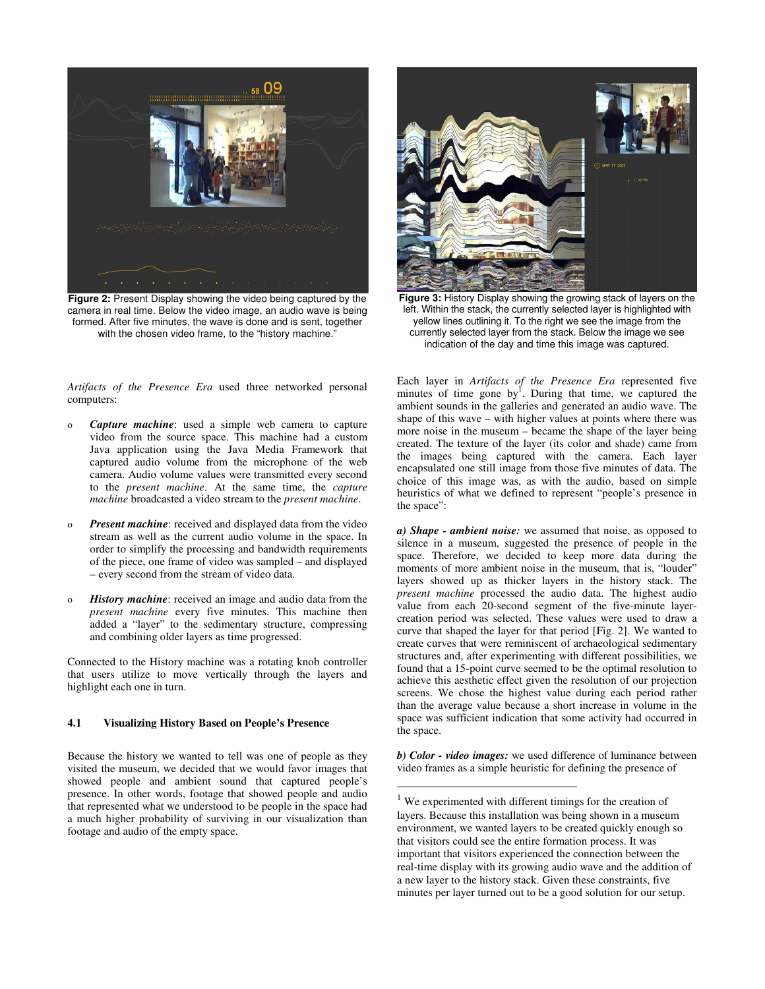

**Figure 2:** Present Display showing the video being captured by the camera in real time. Below the video image, an audio wave is being formed. After five minutes, the wave is done and is sent, together with the chosen video frame, to the "history machine."

*Artifacts of the Presence Era* used three networked personal computers:

- o *Capture machine*: used a simple web camera to capture video from the source space. This machine had a custom Java application using the Java Media Framework that captured audio volume from the microphone of the web camera. Audio volume values were transmitted every second to the *present machine*. At the same time, the *capture machine* broadcasted a video stream to the *present machine*.
- o *Present machine*: received and displayed data from the video stream as well as the current audio volume in the space. In order to simplify the processing and bandwidth requirements of the piece, one frame of video was sampled – and displayed – every second from the stream of video data.
- o *History machine*: received an image and audio data from the *present machine* every five minutes. This machine then added a "layer" to the sedimentary structure, compressing and combining older layers as time progressed.

Connected to the History machine was a rotating knob controller that users utilize to move vertically through the layers and highlight each one in turn.

## **4.1 Visualizing History Based on People's Presence**

Because the history we wanted to tell was one of people as they visited the museum, we decided that we would favor images that showed people and ambient sound that captured people's presence. In other words, footage that showed people and audio that represented what we understood to be people in the space had a much higher probability of surviving in our visualization than footage and audio of the empty space.



**Figure 3:** History Display showing the growing stack of layers on the left. Within the stack, the currently selected layer is highlighted with yellow lines outlining it. To the right we see the image from the currently selected layer from the stack. Below the image we see indication of the day and time this image was captured.

Each layer in *Artifacts of the Presence Era* represented five minutes of time gone by<sup>1</sup>. During that time, we captured the ambient sounds in the galleries and generated an audio wave. The shape of this wave – with higher values at points where there was more noise in the museum – became the shape of the layer being created. The texture of the layer (its color and shade) came from the images being captured with the camera. Each layer encapsulated one still image from those five minutes of data. The choice of this image was, as with the audio, based on simple heuristics of what we defined to represent "people's presence in the space":

*a) Shape - ambient noise:* we assumed that noise, as opposed to silence in a museum, suggested the presence of people in the space. Therefore, we decided to keep more data during the moments of more ambient noise in the museum, that is, "louder" layers showed up as thicker layers in the history stack. The *present machine* processed the audio data. The highest audio value from each 20-second segment of the five-minute layercreation period was selected. These values were used to draw a curve that shaped the layer for that period [Fig. 2]. We wanted to create curves that were reminiscent of archaeological sedimentary structures and, after experimenting with different possibilities, we found that a 15-point curve seemed to be the optimal resolution to achieve this aesthetic effect given the resolution of our projection screens. We chose the highest value during each period rather than the average value because a short increase in volume in the space was sufficient indication that some activity had occurred in the space.

*b) Color - video images:* we used difference of luminance between video frames as a simple heuristic for defining the presence of

 $1$  We experimented with different timings for the creation of layers. Because this installation was being shown in a museum environment, we wanted layers to be created quickly enough so that visitors could see the entire formation process. It was important that visitors experienced the connection between the real-time display with its growing audio wave and the addition of a new layer to the history stack. Given these constraints, five minutes per layer turned out to be a good solution for our setup.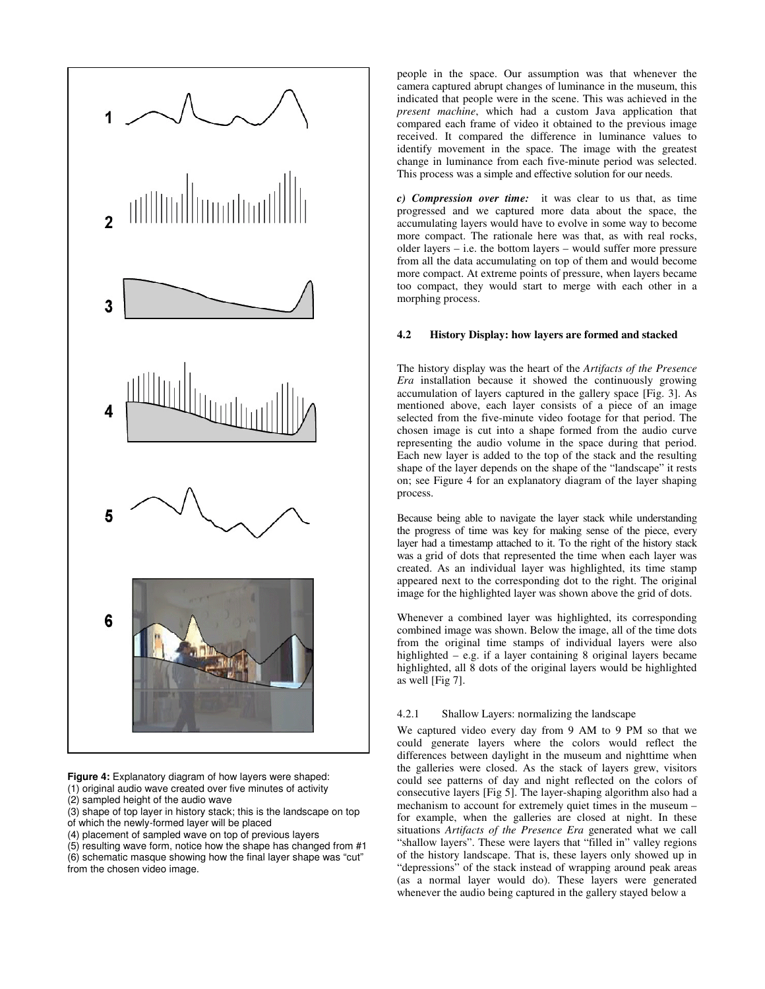

**Figure 4:** Explanatory diagram of how layers were shaped: (1) original audio wave created over five minutes of activity

- (2) sampled height of the audio wave
- (3) shape of top layer in history stack; this is the landscape on top
- of which the newly-formed layer will be placed
- (4) placement of sampled wave on top of previous layers
- (5) resulting wave form, notice how the shape has changed from #1
- (6) schematic masque showing how the final layer shape was "cut" from the chosen video image.

people in the space. Our assumption was that whenever the camera captured abrupt changes of luminance in the museum, this indicated that people were in the scene. This was achieved in the *present machine*, which had a custom Java application that compared each frame of video it obtained to the previous image received. It compared the difference in luminance values to identify movement in the space. The image with the greatest change in luminance from each five-minute period was selected. This process was a simple and effective solution for our needs.

*c) Compression over time:* it was clear to us that, as time progressed and we captured more data about the space, the accumulating layers would have to evolve in some way to become more compact. The rationale here was that, as with real rocks, older layers – i.e. the bottom layers – would suffer more pressure from all the data accumulating on top of them and would become more compact. At extreme points of pressure, when layers became too compact, they would start to merge with each other in a morphing process.

# **4.2 History Display: how layers are formed and stacked**

The history display was the heart of the *Artifacts of the Presence Era* installation because it showed the continuously growing accumulation of layers captured in the gallery space [Fig. 3]. As mentioned above, each layer consists of a piece of an image selected from the five-minute video footage for that period. The chosen image is cut into a shape formed from the audio curve representing the audio volume in the space during that period. Each new layer is added to the top of the stack and the resulting shape of the layer depends on the shape of the "landscape" it rests on; see Figure 4 for an explanatory diagram of the layer shaping process.

Because being able to navigate the layer stack while understanding the progress of time was key for making sense of the piece, every layer had a timestamp attached to it. To the right of the history stack was a grid of dots that represented the time when each layer was created. As an individual layer was highlighted, its time stamp appeared next to the corresponding dot to the right. The original image for the highlighted layer was shown above the grid of dots.

Whenever a combined layer was highlighted, its corresponding combined image was shown. Below the image, all of the time dots from the original time stamps of individual layers were also highlighted – e.g. if a layer containing 8 original layers became highlighted, all 8 dots of the original layers would be highlighted as well [Fig 7].

# 4.2.1 Shallow Layers: normalizing the landscape

We captured video every day from 9 AM to 9 PM so that we could generate layers where the colors would reflect the differences between daylight in the museum and nighttime when the galleries were closed. As the stack of layers grew, visitors could see patterns of day and night reflected on the colors of consecutive layers [Fig 5]. The layer-shaping algorithm also had a mechanism to account for extremely quiet times in the museum – for example, when the galleries are closed at night. In these situations *Artifacts of the Presence Era* generated what we call "shallow layers". These were layers that "filled in" valley regions of the history landscape. That is, these layers only showed up in "depressions" of the stack instead of wrapping around peak areas (as a normal layer would do). These layers were generated whenever the audio being captured in the gallery stayed below a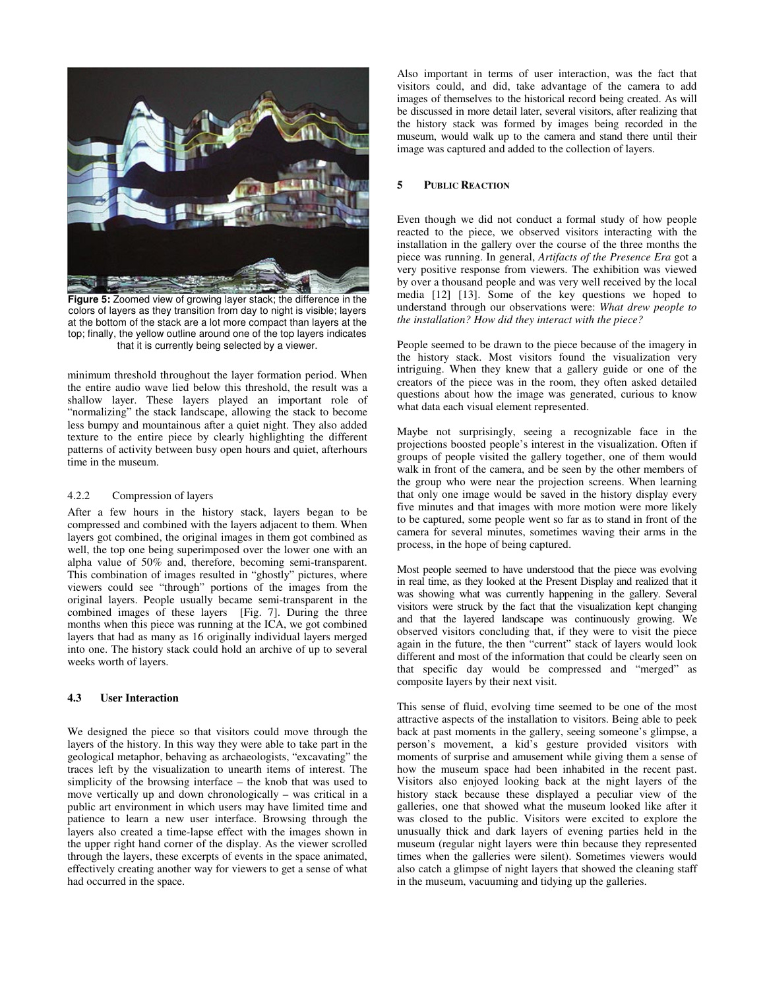

**Figure 5:** Zoomed view of growing layer stack; the difference in the colors of layers as they transition from day to night is visible; layers at the bottom of the stack are a lot more compact than layers at the top; finally, the yellow outline around one of the top layers indicates that it is currently being selected by a viewer.

minimum threshold throughout the layer formation period. When the entire audio wave lied below this threshold, the result was a shallow layer. These layers played an important role of "normalizing" the stack landscape, allowing the stack to become less bumpy and mountainous after a quiet night. They also added texture to the entire piece by clearly highlighting the different patterns of activity between busy open hours and quiet, afterhours time in the museum.

## 4.2.2 Compression of layers

After a few hours in the history stack, layers began to be compressed and combined with the layers adjacent to them. When layers got combined, the original images in them got combined as well, the top one being superimposed over the lower one with an alpha value of 50% and, therefore, becoming semi-transparent. This combination of images resulted in "ghostly" pictures, where viewers could see "through" portions of the images from the original layers. People usually became semi-transparent in the combined images of these layers [Fig. 7]. During the three months when this piece was running at the ICA, we got combined layers that had as many as 16 originally individual layers merged into one. The history stack could hold an archive of up to several weeks worth of layers.

#### **4.3 User Interaction**

We designed the piece so that visitors could move through the layers of the history. In this way they were able to take part in the geological metaphor, behaving as archaeologists, "excavating" the traces left by the visualization to unearth items of interest. The simplicity of the browsing interface – the knob that was used to move vertically up and down chronologically – was critical in a public art environment in which users may have limited time and patience to learn a new user interface. Browsing through the layers also created a time-lapse effect with the images shown in the upper right hand corner of the display. As the viewer scrolled through the layers, these excerpts of events in the space animated, effectively creating another way for viewers to get a sense of what had occurred in the space.

Also important in terms of user interaction, was the fact that visitors could, and did, take advantage of the camera to add images of themselves to the historical record being created. As will be discussed in more detail later, several visitors, after realizing that the history stack was formed by images being recorded in the museum, would walk up to the camera and stand there until their image was captured and added to the collection of layers.

## **5 PUBLIC REACTION**

Even though we did not conduct a formal study of how people reacted to the piece, we observed visitors interacting with the installation in the gallery over the course of the three months the piece was running. In general, *Artifacts of the Presence Era* got a very positive response from viewers. The exhibition was viewed by over a thousand people and was very well received by the local media [12] [13]. Some of the key questions we hoped to understand through our observations were: *What drew people to the installation? How did they interact with the piece?*

People seemed to be drawn to the piece because of the imagery in the history stack. Most visitors found the visualization very intriguing. When they knew that a gallery guide or one of the creators of the piece was in the room, they often asked detailed questions about how the image was generated, curious to know what data each visual element represented.

Maybe not surprisingly, seeing a recognizable face in the projections boosted people's interest in the visualization. Often if groups of people visited the gallery together, one of them would walk in front of the camera, and be seen by the other members of the group who were near the projection screens. When learning that only one image would be saved in the history display every five minutes and that images with more motion were more likely to be captured, some people went so far as to stand in front of the camera for several minutes, sometimes waving their arms in the process, in the hope of being captured.

Most people seemed to have understood that the piece was evolving in real time, as they looked at the Present Display and realized that it was showing what was currently happening in the gallery. Several visitors were struck by the fact that the visualization kept changing and that the layered landscape was continuously growing. We observed visitors concluding that, if they were to visit the piece again in the future, the then "current" stack of layers would look different and most of the information that could be clearly seen on that specific day would be compressed and "merged" as composite layers by their next visit.

This sense of fluid, evolving time seemed to be one of the most attractive aspects of the installation to visitors. Being able to peek back at past moments in the gallery, seeing someone's glimpse, a person's movement, a kid's gesture provided visitors with moments of surprise and amusement while giving them a sense of how the museum space had been inhabited in the recent past. Visitors also enjoyed looking back at the night layers of the history stack because these displayed a peculiar view of the galleries, one that showed what the museum looked like after it was closed to the public. Visitors were excited to explore the unusually thick and dark layers of evening parties held in the museum (regular night layers were thin because they represented times when the galleries were silent). Sometimes viewers would also catch a glimpse of night layers that showed the cleaning staff in the museum, vacuuming and tidying up the galleries.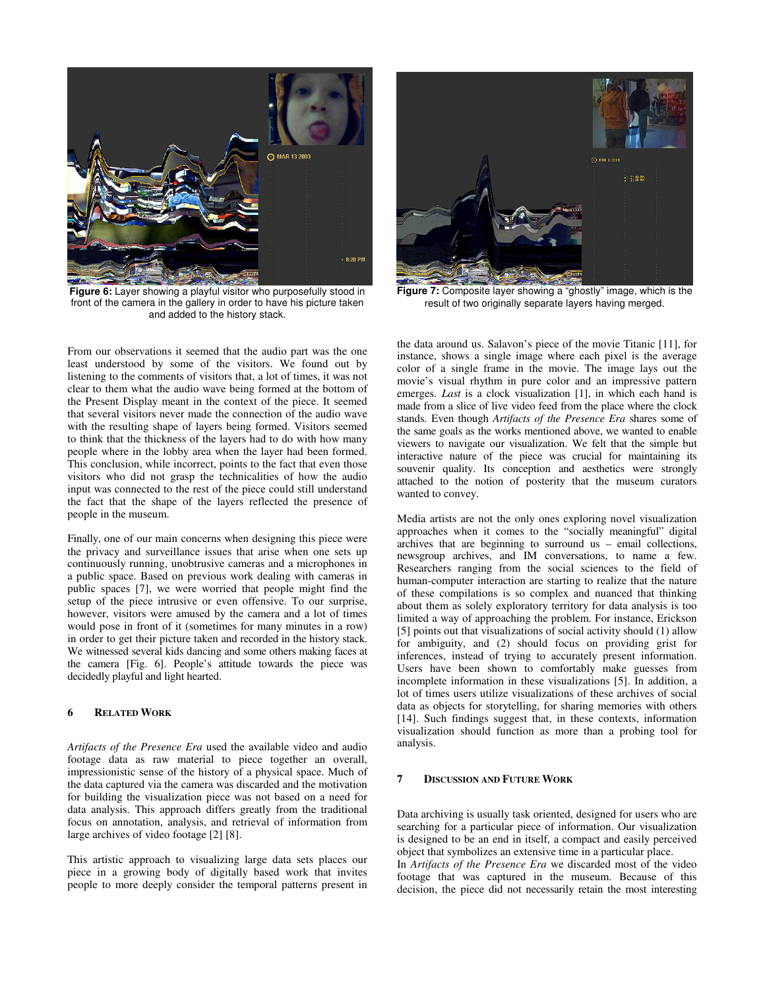

**Figure 6:** Layer showing a playful visitor who purposefully stood in front of the camera in the gallery in order to have his picture taken and added to the history stack.

From our observations it seemed that the audio part was the one least understood by some of the visitors. We found out by listening to the comments of visitors that, a lot of times, it was not clear to them what the audio wave being formed at the bottom of the Present Display meant in the context of the piece. It seemed that several visitors never made the connection of the audio wave with the resulting shape of layers being formed. Visitors seemed to think that the thickness of the layers had to do with how many people where in the lobby area when the layer had been formed. This conclusion, while incorrect, points to the fact that even those visitors who did not grasp the technicalities of how the audio input was connected to the rest of the piece could still understand the fact that the shape of the layers reflected the presence of people in the museum.

Finally, one of our main concerns when designing this piece were the privacy and surveillance issues that arise when one sets up continuously running, unobtrusive cameras and a microphones in a public space. Based on previous work dealing with cameras in public spaces [7], we were worried that people might find the setup of the piece intrusive or even offensive. To our surprise, however, visitors were amused by the camera and a lot of times would pose in front of it (sometimes for many minutes in a row) in order to get their picture taken and recorded in the history stack. We witnessed several kids dancing and some others making faces at the camera [Fig. 6]. People's attitude towards the piece was decidedly playful and light hearted.

# **6 RELATED WORK**

*Artifacts of the Presence Era* used the available video and audio footage data as raw material to piece together an overall, impressionistic sense of the history of a physical space. Much of the data captured via the camera was discarded and the motivation for building the visualization piece was not based on a need for data analysis. This approach differs greatly from the traditional focus on annotation, analysis, and retrieval of information from large archives of video footage [2] [8].

This artistic approach to visualizing large data sets places our piece in a growing body of digitally based work that invites people to more deeply consider the temporal patterns present in



**Figure 7:** Composite layer showing a "ghostly" image, which is the result of two originally separate layers having merged.

the data around us. Salavon's piece of the movie Titanic [11], for instance, shows a single image where each pixel is the average color of a single frame in the movie. The image lays out the movie's visual rhythm in pure color and an impressive pattern emerges. *Last* is a clock visualization [1], in which each hand is made from a slice of live video feed from the place where the clock stands. Even though *Artifacts of the Presence Era* shares some of the same goals as the works mentioned above, we wanted to enable viewers to navigate our visualization. We felt that the simple but interactive nature of the piece was crucial for maintaining its souvenir quality. Its conception and aesthetics were strongly attached to the notion of posterity that the museum curators wanted to convey.

Media artists are not the only ones exploring novel visualization approaches when it comes to the "socially meaningful" digital archives that are beginning to surround us – email collections, newsgroup archives, and IM conversations, to name a few. Researchers ranging from the social sciences to the field of human-computer interaction are starting to realize that the nature of these compilations is so complex and nuanced that thinking about them as solely exploratory territory for data analysis is too limited a way of approaching the problem. For instance, Erickson [5] points out that visualizations of social activity should (1) allow for ambiguity, and (2) should focus on providing grist for inferences, instead of trying to accurately present information. Users have been shown to comfortably make guesses from incomplete information in these visualizations [5]. In addition, a lot of times users utilize visualizations of these archives of social data as objects for storytelling, for sharing memories with others [14]. Such findings suggest that, in these contexts, information visualization should function as more than a probing tool for analysis.

#### **7 DISCUSSION AND FUTURE WORK**

Data archiving is usually task oriented, designed for users who are searching for a particular piece of information. Our visualization is designed to be an end in itself, a compact and easily perceived object that symbolizes an extensive time in a particular place.

In *Artifacts of the Presence Era* we discarded most of the video footage that was captured in the museum. Because of this decision, the piece did not necessarily retain the most interesting